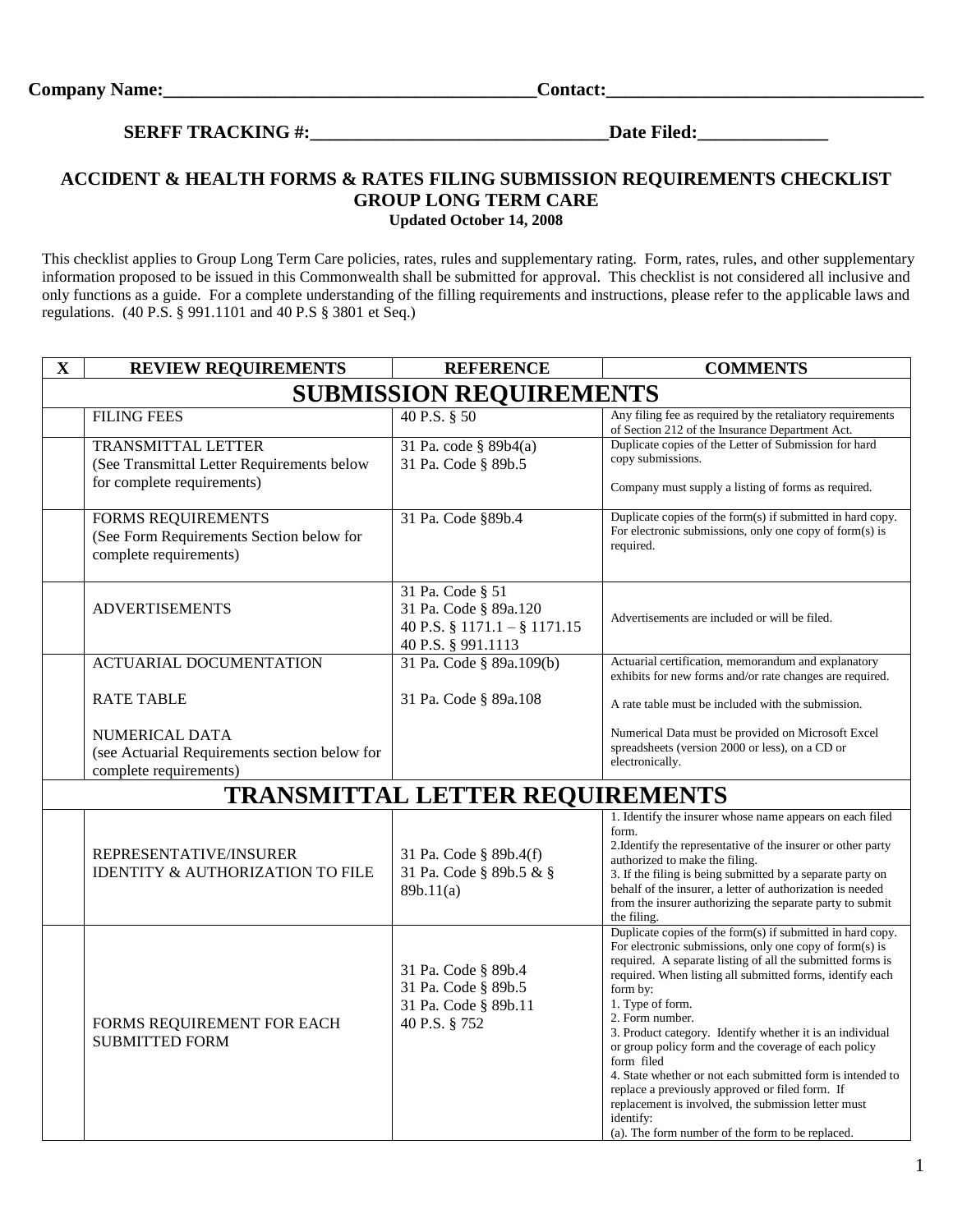**SERFF TRACKING #:\_\_\_\_\_\_\_\_\_\_\_\_\_\_\_\_\_\_\_\_\_\_\_\_\_\_\_\_\_\_\_\_Date Filed:\_\_\_\_\_\_\_\_\_\_\_\_\_\_**

## **ACCIDENT & HEALTH FORMS & RATES FILING SUBMISSION REQUIREMENTS CHECKLIST GROUP LONG TERM CARE Updated October 14, 2008**

This checklist applies to Group Long Term Care policies, rates, rules and supplementary rating. Form, rates, rules, and other supplementary information proposed to be issued in this Commonwealth shall be submitted for approval. This checklist is not considered all inclusive and only functions as a guide. For a complete understanding of the filling requirements and instructions, please refer to the applicable laws and regulations. (40 P.S. § 991.1101 and 40 P.S § 3801 et Seq.)

| $\mathbf X$ | <b>REVIEW REQUIREMENTS</b>                                                                            | <b>REFERENCE</b>                                                                                      | <b>COMMENTS</b>                                                                                                                                                                                                                                                                                                                                                                                                                                                                                                                                                                                                                                                                 |  |  |
|-------------|-------------------------------------------------------------------------------------------------------|-------------------------------------------------------------------------------------------------------|---------------------------------------------------------------------------------------------------------------------------------------------------------------------------------------------------------------------------------------------------------------------------------------------------------------------------------------------------------------------------------------------------------------------------------------------------------------------------------------------------------------------------------------------------------------------------------------------------------------------------------------------------------------------------------|--|--|
|             | <b>SUBMISSION REQUIREMENTS</b>                                                                        |                                                                                                       |                                                                                                                                                                                                                                                                                                                                                                                                                                                                                                                                                                                                                                                                                 |  |  |
|             | <b>FILING FEES</b>                                                                                    | 40 P.S. § 50                                                                                          | Any filing fee as required by the retaliatory requirements<br>of Section 212 of the Insurance Department Act.                                                                                                                                                                                                                                                                                                                                                                                                                                                                                                                                                                   |  |  |
|             | <b>TRANSMITTAL LETTER</b><br>(See Transmittal Letter Requirements below<br>for complete requirements) | 31 Pa. code § 89b4(a)<br>31 Pa. Code § 89b.5                                                          | Duplicate copies of the Letter of Submission for hard<br>copy submissions.<br>Company must supply a listing of forms as required.                                                                                                                                                                                                                                                                                                                                                                                                                                                                                                                                               |  |  |
|             | <b>FORMS REQUIREMENTS</b><br>(See Form Requirements Section below for<br>complete requirements)       | 31 Pa. Code §89b.4                                                                                    | Duplicate copies of the form(s) if submitted in hard copy.<br>For electronic submissions, only one copy of form(s) is<br>required.                                                                                                                                                                                                                                                                                                                                                                                                                                                                                                                                              |  |  |
|             | <b>ADVERTISEMENTS</b>                                                                                 | 31 Pa. Code § 51<br>31 Pa. Code § 89a.120<br>40 P.S. $\S$ 1171.1 - $\S$ 1171.15<br>40 P.S. § 991.1113 | Advertisements are included or will be filed.                                                                                                                                                                                                                                                                                                                                                                                                                                                                                                                                                                                                                                   |  |  |
|             | ACTUARIAL DOCUMENTATION                                                                               | 31 Pa. Code § 89a.109(b)                                                                              | Actuarial certification, memorandum and explanatory<br>exhibits for new forms and/or rate changes are required.                                                                                                                                                                                                                                                                                                                                                                                                                                                                                                                                                                 |  |  |
|             | <b>RATE TABLE</b>                                                                                     | 31 Pa. Code § 89a.108                                                                                 | A rate table must be included with the submission.                                                                                                                                                                                                                                                                                                                                                                                                                                                                                                                                                                                                                              |  |  |
|             | NUMERICAL DATA<br>(see Actuarial Requirements section below for<br>complete requirements)             |                                                                                                       | Numerical Data must be provided on Microsoft Excel<br>spreadsheets (version 2000 or less), on a CD or<br>electronically.                                                                                                                                                                                                                                                                                                                                                                                                                                                                                                                                                        |  |  |
|             |                                                                                                       | <b>TRANSMITTAL LETTER REQUIREMENTS</b>                                                                |                                                                                                                                                                                                                                                                                                                                                                                                                                                                                                                                                                                                                                                                                 |  |  |
|             | REPRESENTATIVE/INSURER<br><b>IDENTITY &amp; AUTHORIZATION TO FILE</b>                                 | 31 Pa. Code § 89b.4(f)<br>31 Pa. Code § 89b.5 & §<br>89b.11(a)                                        | 1. Identify the insurer whose name appears on each filed<br>form.<br>2. Identify the representative of the insurer or other party<br>authorized to make the filing.<br>3. If the filing is being submitted by a separate party on<br>behalf of the insurer, a letter of authorization is needed<br>from the insurer authorizing the separate party to submit<br>the filing.                                                                                                                                                                                                                                                                                                     |  |  |
|             | FORMS REQUIREMENT FOR EACH<br><b>SUBMITTED FORM</b>                                                   | 31 Pa. Code § 89b.4<br>31 Pa. Code § 89b.5<br>31 Pa. Code § 89b.11<br>40 P.S. § 752                   | Duplicate copies of the form(s) if submitted in hard copy.<br>For electronic submissions, only one copy of form(s) is<br>required. A separate listing of all the submitted forms is<br>required. When listing all submitted forms, identify each<br>form by:<br>1. Type of form.<br>2. Form number.<br>3. Product category. Identify whether it is an individual<br>or group policy form and the coverage of each policy<br>form filed<br>4. State whether or not each submitted form is intended to<br>replace a previously approved or filed form. If<br>replacement is involved, the submission letter must<br>identify:<br>(a). The form number of the form to be replaced. |  |  |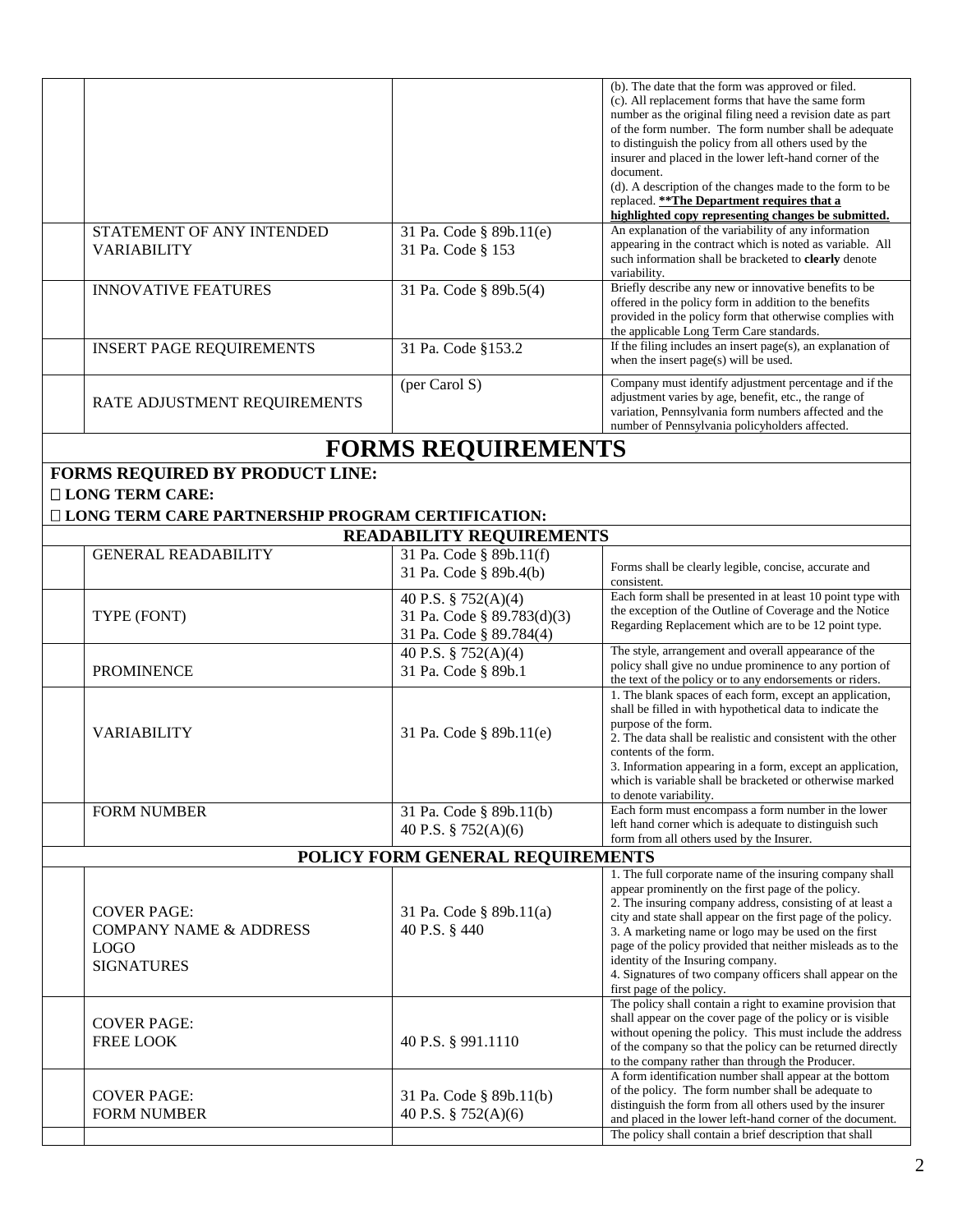| STATEMENT OF ANY INTENDED                                                                                                     | 31 Pa. Code § 89b.11(e)                                                      | (b). The date that the form was approved or filed.<br>(c). All replacement forms that have the same form<br>number as the original filing need a revision date as part<br>of the form number. The form number shall be adequate<br>to distinguish the policy from all others used by the<br>insurer and placed in the lower left-hand corner of the<br>document.<br>(d). A description of the changes made to the form to be<br>replaced. ** The Department requires that a<br>highlighted copy representing changes be submitted.<br>An explanation of the variability of any information |
|-------------------------------------------------------------------------------------------------------------------------------|------------------------------------------------------------------------------|--------------------------------------------------------------------------------------------------------------------------------------------------------------------------------------------------------------------------------------------------------------------------------------------------------------------------------------------------------------------------------------------------------------------------------------------------------------------------------------------------------------------------------------------------------------------------------------------|
| <b>VARIABILITY</b>                                                                                                            | 31 Pa. Code § 153                                                            | appearing in the contract which is noted as variable. All<br>such information shall be bracketed to clearly denote<br>variability.                                                                                                                                                                                                                                                                                                                                                                                                                                                         |
| <b>INNOVATIVE FEATURES</b>                                                                                                    | 31 Pa. Code § 89b.5(4)                                                       | Briefly describe any new or innovative benefits to be<br>offered in the policy form in addition to the benefits<br>provided in the policy form that otherwise complies with<br>the applicable Long Term Care standards.                                                                                                                                                                                                                                                                                                                                                                    |
| <b>INSERT PAGE REQUIREMENTS</b>                                                                                               | 31 Pa. Code §153.2                                                           | If the filing includes an insert page(s), an explanation of<br>when the insert page(s) will be used.                                                                                                                                                                                                                                                                                                                                                                                                                                                                                       |
| RATE ADJUSTMENT REQUIREMENTS                                                                                                  | (per Carol S)                                                                | Company must identify adjustment percentage and if the<br>adjustment varies by age, benefit, etc., the range of<br>variation, Pennsylvania form numbers affected and the<br>number of Pennsylvania policyholders affected.                                                                                                                                                                                                                                                                                                                                                                 |
|                                                                                                                               | <b>FORMS REQUIREMENTS</b>                                                    |                                                                                                                                                                                                                                                                                                                                                                                                                                                                                                                                                                                            |
| <b>FORMS REQUIRED BY PRODUCT LINE:</b><br><b>LONG TERM CARE:</b><br><b>ILONG TERM CARE PARTNERSHIP PROGRAM CERTIFICATION:</b> |                                                                              |                                                                                                                                                                                                                                                                                                                                                                                                                                                                                                                                                                                            |
|                                                                                                                               | <b>READABILITY REQUIREMENTS</b>                                              |                                                                                                                                                                                                                                                                                                                                                                                                                                                                                                                                                                                            |
| <b>GENERAL READABILITY</b>                                                                                                    | 31 Pa. Code § 89b.11(f)<br>31 Pa. Code § 89b.4(b)                            | Forms shall be clearly legible, concise, accurate and<br>consistent.                                                                                                                                                                                                                                                                                                                                                                                                                                                                                                                       |
| TYPE (FONT)                                                                                                                   | 40 P.S. § 752(A)(4)<br>31 Pa. Code § 89.783(d)(3)<br>31 Pa. Code § 89.784(4) | Each form shall be presented in at least 10 point type with<br>the exception of the Outline of Coverage and the Notice<br>Regarding Replacement which are to be 12 point type.                                                                                                                                                                                                                                                                                                                                                                                                             |
| <b>PROMINENCE</b>                                                                                                             | 40 P.S. § 752(A)(4)<br>31 Pa. Code § 89b.1                                   | The style, arrangement and overall appearance of the<br>policy shall give no undue prominence to any portion of<br>the text of the policy or to any endorsements or riders.                                                                                                                                                                                                                                                                                                                                                                                                                |
| VARIABILITY                                                                                                                   | 31 Pa. Code § 89b.11(e)                                                      | 1. The blank spaces of each form, except an application,<br>shall be filled in with hypothetical data to indicate the<br>purpose of the form.<br>2. The data shall be realistic and consistent with the other<br>contents of the form.<br>3. Information appearing in a form, except an application,<br>which is variable shall be bracketed or otherwise marked<br>to denote variability.                                                                                                                                                                                                 |
| <b>FORM NUMBER</b>                                                                                                            | 31 Pa. Code § 89b.11(b)<br>40 P.S. § $752(A)(6)$                             | Each form must encompass a form number in the lower<br>left hand corner which is adequate to distinguish such<br>form from all others used by the Insurer.                                                                                                                                                                                                                                                                                                                                                                                                                                 |
|                                                                                                                               | POLICY FORM GENERAL REQUIREMENTS                                             |                                                                                                                                                                                                                                                                                                                                                                                                                                                                                                                                                                                            |
| <b>COVER PAGE:</b><br><b>COMPANY NAME &amp; ADDRESS</b><br><b>LOGO</b><br><b>SIGNATURES</b>                                   | 31 Pa. Code § 89b.11(a)<br>40 P.S. § 440                                     | 1. The full corporate name of the insuring company shall<br>appear prominently on the first page of the policy.<br>2. The insuring company address, consisting of at least a<br>city and state shall appear on the first page of the policy.<br>3. A marketing name or logo may be used on the first<br>page of the policy provided that neither misleads as to the<br>identity of the Insuring company.<br>4. Signatures of two company officers shall appear on the<br>first page of the policy.                                                                                         |
| <b>COVER PAGE:</b><br>FREE LOOK                                                                                               | 40 P.S. § 991.1110                                                           | The policy shall contain a right to examine provision that<br>shall appear on the cover page of the policy or is visible<br>without opening the policy. This must include the address<br>of the company so that the policy can be returned directly<br>to the company rather than through the Producer.                                                                                                                                                                                                                                                                                    |
| <b>COVER PAGE:</b><br><b>FORM NUMBER</b>                                                                                      | 31 Pa. Code § 89b.11(b)<br>40 P.S. § 752(A)(6)                               | A form identification number shall appear at the bottom<br>of the policy. The form number shall be adequate to<br>distinguish the form from all others used by the insurer<br>and placed in the lower left-hand corner of the document.<br>The policy shall contain a brief description that shall                                                                                                                                                                                                                                                                                         |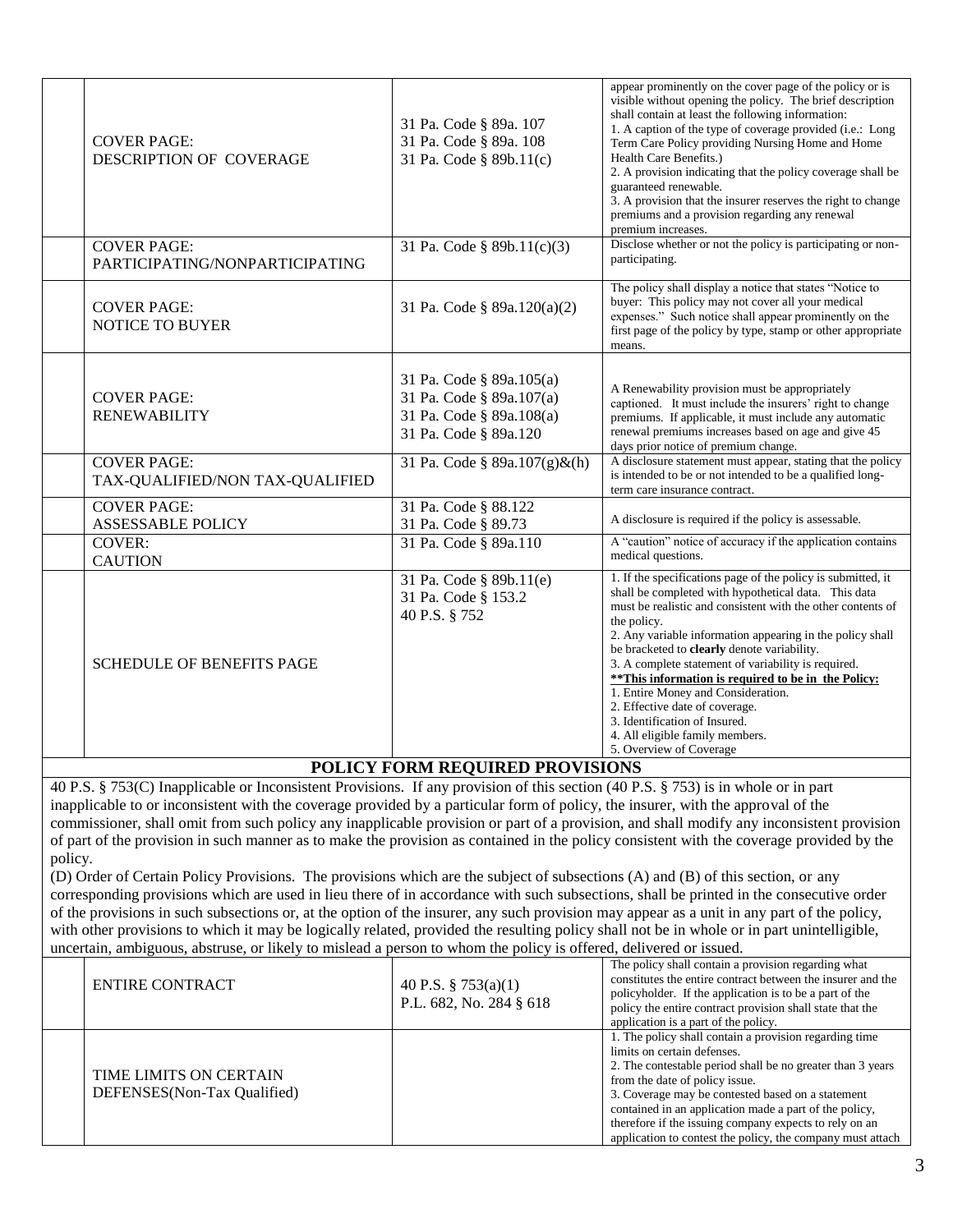| <b>COVER PAGE:</b><br>DESCRIPTION OF COVERAGE         | 31 Pa. Code § 89a. 107<br>31 Pa. Code § 89a. 108<br>31 Pa. Code § 89b.11(c)                               | appear prominently on the cover page of the policy or is<br>visible without opening the policy. The brief description<br>shall contain at least the following information:<br>1. A caption of the type of coverage provided (i.e.: Long<br>Term Care Policy providing Nursing Home and Home<br>Health Care Benefits.)<br>2. A provision indicating that the policy coverage shall be<br>guaranteed renewable.<br>3. A provision that the insurer reserves the right to change<br>premiums and a provision regarding any renewal<br>premium increases.                                                |
|-------------------------------------------------------|-----------------------------------------------------------------------------------------------------------|------------------------------------------------------------------------------------------------------------------------------------------------------------------------------------------------------------------------------------------------------------------------------------------------------------------------------------------------------------------------------------------------------------------------------------------------------------------------------------------------------------------------------------------------------------------------------------------------------|
| <b>COVER PAGE:</b><br>PARTICIPATING/NONPARTICIPATING  | 31 Pa. Code § 89b.11(c)(3)                                                                                | Disclose whether or not the policy is participating or non-<br>participating.                                                                                                                                                                                                                                                                                                                                                                                                                                                                                                                        |
| <b>COVER PAGE:</b><br><b>NOTICE TO BUYER</b>          | 31 Pa. Code § 89a.120(a)(2)                                                                               | The policy shall display a notice that states "Notice to<br>buyer: This policy may not cover all your medical<br>expenses." Such notice shall appear prominently on the<br>first page of the policy by type, stamp or other appropriate<br>means.                                                                                                                                                                                                                                                                                                                                                    |
| <b>COVER PAGE:</b><br><b>RENEWABILITY</b>             | 31 Pa. Code § 89a.105(a)<br>31 Pa. Code § 89a.107(a)<br>31 Pa. Code § 89a.108(a)<br>31 Pa. Code § 89a.120 | A Renewability provision must be appropriately<br>captioned. It must include the insurers' right to change<br>premiums. If applicable, it must include any automatic<br>renewal premiums increases based on age and give 45<br>days prior notice of premium change.                                                                                                                                                                                                                                                                                                                                  |
| <b>COVER PAGE:</b><br>TAX-QUALIFIED/NON TAX-QUALIFIED | 31 Pa. Code § 89a.107(g)&(h)                                                                              | A disclosure statement must appear, stating that the policy<br>is intended to be or not intended to be a qualified long-<br>term care insurance contract.                                                                                                                                                                                                                                                                                                                                                                                                                                            |
| <b>COVER PAGE:</b><br><b>ASSESSABLE POLICY</b>        | 31 Pa. Code § 88.122<br>31 Pa. Code § 89.73                                                               | A disclosure is required if the policy is assessable.                                                                                                                                                                                                                                                                                                                                                                                                                                                                                                                                                |
| <b>COVER:</b><br><b>CAUTION</b>                       | 31 Pa. Code § 89a.110                                                                                     | A "caution" notice of accuracy if the application contains<br>medical questions.                                                                                                                                                                                                                                                                                                                                                                                                                                                                                                                     |
| <b>SCHEDULE OF BENEFITS PAGE</b>                      | 31 Pa. Code § 89b.11(e)<br>31 Pa. Code § 153.2<br>40 P.S. § 752                                           | 1. If the specifications page of the policy is submitted, it<br>shall be completed with hypothetical data. This data<br>must be realistic and consistent with the other contents of<br>the policy.<br>2. Any variable information appearing in the policy shall<br>be bracketed to clearly denote variability.<br>3. A complete statement of variability is required.<br>** This information is required to be in the Policy:<br>1. Entire Money and Consideration.<br>2. Effective date of coverage.<br>3. Identification of Insured.<br>4. All eligible family members.<br>5. Overview of Coverage |
|                                                       |                                                                                                           |                                                                                                                                                                                                                                                                                                                                                                                                                                                                                                                                                                                                      |

## **POLICY FORM REQUIRED PROVISIONS**

40 P.S. § 753(C) Inapplicable or Inconsistent Provisions. If any provision of this section (40 P.S. § 753) is in whole or in part inapplicable to or inconsistent with the coverage provided by a particular form of policy, the insurer, with the approval of the commissioner, shall omit from such policy any inapplicable provision or part of a provision, and shall modify any inconsistent provision of part of the provision in such manner as to make the provision as contained in the policy consistent with the coverage provided by the policy.

(D) Order of Certain Policy Provisions. The provisions which are the subject of subsections (A) and (B) of this section, or any corresponding provisions which are used in lieu there of in accordance with such subsections, shall be printed in the consecutive order of the provisions in such subsections or, at the option of the insurer, any such provision may appear as a unit in any part of the policy, with other provisions to which it may be logically related, provided the resulting policy shall not be in whole or in part unintelligible, uncertain, ambiguous, abstruse, or likely to mislead a person to whom the policy is offered, delivered or issued.

| <b>ENTIRE CONTRACT</b>                                | 40 P.S. § 753(a)(1)<br>P.L. 682, No. 284 § 618 | The policy shall contain a provision regarding what<br>constitutes the entire contract between the insurer and the<br>policyholder. If the application is to be a part of the<br>policy the entire contract provision shall state that the<br>application is a part of the policy.                                                                                                                                           |
|-------------------------------------------------------|------------------------------------------------|------------------------------------------------------------------------------------------------------------------------------------------------------------------------------------------------------------------------------------------------------------------------------------------------------------------------------------------------------------------------------------------------------------------------------|
| TIME LIMITS ON CERTAIN<br>DEFENSES(Non-Tax Qualified) |                                                | 1. The policy shall contain a provision regarding time<br>limits on certain defenses.<br>2. The contestable period shall be no greater than 3 years<br>from the date of policy issue.<br>3. Coverage may be contested based on a statement<br>contained in an application made a part of the policy,<br>therefore if the issuing company expects to rely on an<br>application to contest the policy, the company must attach |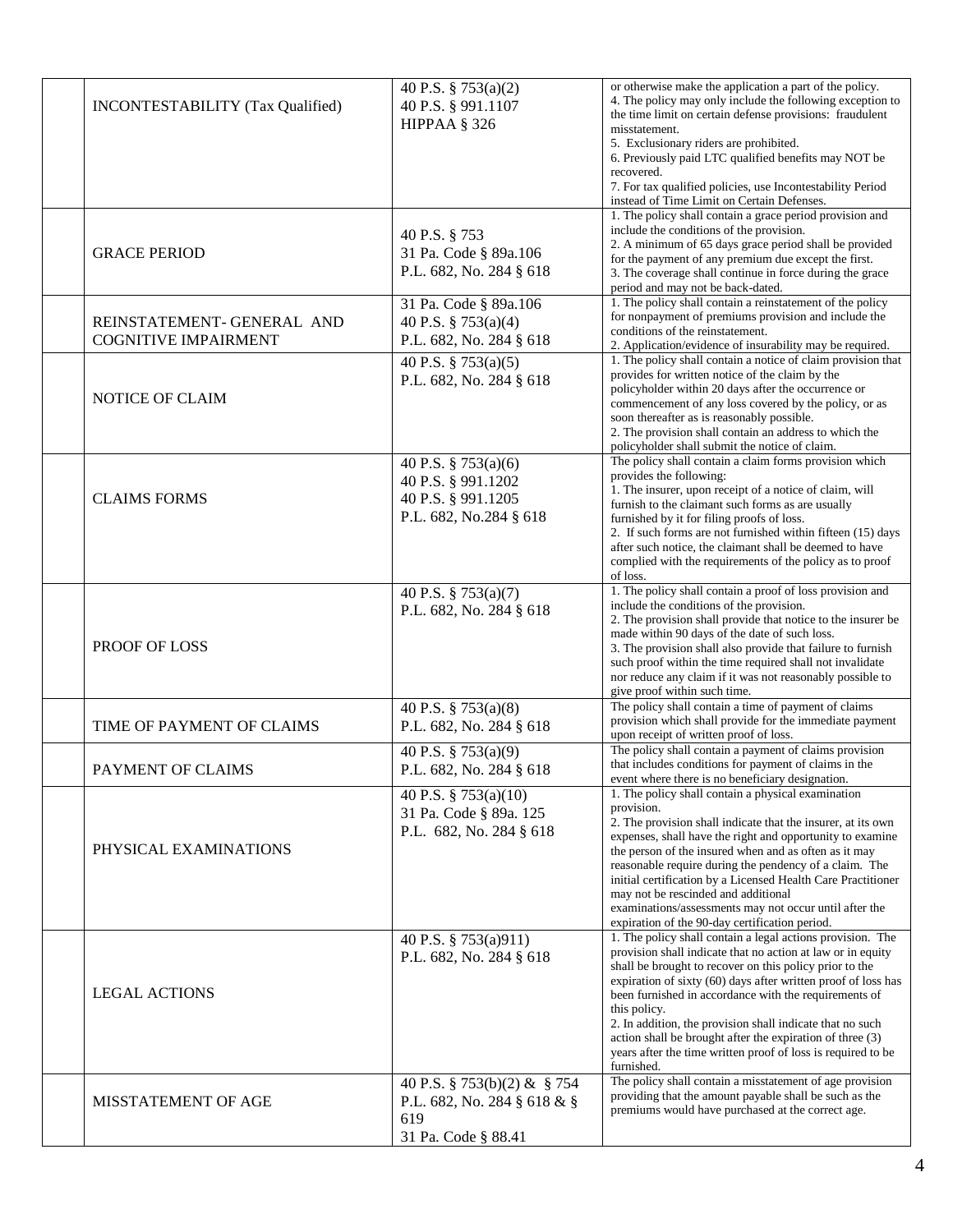| <b>INCONTESTABILITY</b> (Tax Qualified)                   | 40 P.S. § 753(a)(2)<br>40 P.S. § 991.1107<br>HIPPAA § 326                                 | or otherwise make the application a part of the policy.<br>4. The policy may only include the following exception to<br>the time limit on certain defense provisions: fraudulent<br>misstatement.                                                                                                                                                                                                                                                                                                                                      |
|-----------------------------------------------------------|-------------------------------------------------------------------------------------------|----------------------------------------------------------------------------------------------------------------------------------------------------------------------------------------------------------------------------------------------------------------------------------------------------------------------------------------------------------------------------------------------------------------------------------------------------------------------------------------------------------------------------------------|
|                                                           |                                                                                           | 5. Exclusionary riders are prohibited.<br>6. Previously paid LTC qualified benefits may NOT be<br>recovered.<br>7. For tax qualified policies, use Incontestability Period                                                                                                                                                                                                                                                                                                                                                             |
|                                                           |                                                                                           | instead of Time Limit on Certain Defenses.                                                                                                                                                                                                                                                                                                                                                                                                                                                                                             |
| <b>GRACE PERIOD</b>                                       | 40 P.S. § 753<br>31 Pa. Code § 89a.106<br>P.L. 682, No. 284 § 618                         | 1. The policy shall contain a grace period provision and<br>include the conditions of the provision.<br>2. A minimum of 65 days grace period shall be provided<br>for the payment of any premium due except the first.<br>3. The coverage shall continue in force during the grace<br>period and may not be back-dated.                                                                                                                                                                                                                |
| REINSTATEMENT- GENERAL AND<br><b>COGNITIVE IMPAIRMENT</b> | 31 Pa. Code § 89a.106<br>40 P.S. § 753(a)(4)<br>P.L. 682, No. 284 § 618                   | 1. The policy shall contain a reinstatement of the policy<br>for nonpayment of premiums provision and include the<br>conditions of the reinstatement.<br>2. Application/evidence of insurability may be required.                                                                                                                                                                                                                                                                                                                      |
| NOTICE OF CLAIM                                           | 40 P.S. § 753(a)(5)<br>P.L. 682, No. 284 § 618                                            | 1. The policy shall contain a notice of claim provision that<br>provides for written notice of the claim by the<br>policyholder within 20 days after the occurrence or<br>commencement of any loss covered by the policy, or as<br>soon thereafter as is reasonably possible.<br>2. The provision shall contain an address to which the<br>policyholder shall submit the notice of claim.                                                                                                                                              |
| <b>CLAIMS FORMS</b>                                       | 40 P.S. § 753(a)(6)<br>40 P.S. § 991.1202<br>40 P.S. § 991.1205<br>P.L. 682, No.284 § 618 | The policy shall contain a claim forms provision which<br>provides the following:<br>1. The insurer, upon receipt of a notice of claim, will<br>furnish to the claimant such forms as are usually<br>furnished by it for filing proofs of loss.<br>2. If such forms are not furnished within fifteen (15) days<br>after such notice, the claimant shall be deemed to have<br>complied with the requirements of the policy as to proof<br>of loss.                                                                                      |
| PROOF OF LOSS                                             | 40 P.S. § 753(a)(7)<br>P.L. 682, No. 284 § 618                                            | 1. The policy shall contain a proof of loss provision and<br>include the conditions of the provision.<br>2. The provision shall provide that notice to the insurer be<br>made within 90 days of the date of such loss.<br>3. The provision shall also provide that failure to furnish<br>such proof within the time required shall not invalidate<br>nor reduce any claim if it was not reasonably possible to<br>give proof within such time.                                                                                         |
| TIME OF PAYMENT OF CLAIMS                                 | 40 P.S. § 753(a)(8)<br>P.L. 682, No. 284 § 618                                            | The policy shall contain a time of payment of claims<br>provision which shall provide for the immediate payment<br>upon receipt of written proof of loss.                                                                                                                                                                                                                                                                                                                                                                              |
| PAYMENT OF CLAIMS                                         | 40 P.S. § 753(a)(9)<br>P.L. 682, No. 284 § 618                                            | The policy shall contain a payment of claims provision<br>that includes conditions for payment of claims in the<br>event where there is no beneficiary designation.                                                                                                                                                                                                                                                                                                                                                                    |
| PHYSICAL EXAMINATIONS                                     | 40 P.S. § 753(a)(10)<br>31 Pa. Code § 89a. 125<br>P.L. 682, No. 284 § 618                 | 1. The policy shall contain a physical examination<br>provision.<br>2. The provision shall indicate that the insurer, at its own<br>expenses, shall have the right and opportunity to examine<br>the person of the insured when and as often as it may<br>reasonable require during the pendency of a claim. The<br>initial certification by a Licensed Health Care Practitioner<br>may not be rescinded and additional<br>examinations/assessments may not occur until after the<br>expiration of the 90-day certification period.    |
| <b>LEGAL ACTIONS</b>                                      | 40 P.S. § 753(a)911)<br>P.L. 682, No. 284 § 618                                           | 1. The policy shall contain a legal actions provision. The<br>provision shall indicate that no action at law or in equity<br>shall be brought to recover on this policy prior to the<br>expiration of sixty (60) days after written proof of loss has<br>been furnished in accordance with the requirements of<br>this policy.<br>2. In addition, the provision shall indicate that no such<br>action shall be brought after the expiration of three (3)<br>years after the time written proof of loss is required to be<br>furnished. |
| MISSTATEMENT OF AGE                                       | 40 P.S. § 753(b)(2) & § 754<br>P.L. 682, No. 284 § 618 & §<br>619<br>31 Pa. Code § 88.41  | The policy shall contain a misstatement of age provision<br>providing that the amount payable shall be such as the<br>premiums would have purchased at the correct age.                                                                                                                                                                                                                                                                                                                                                                |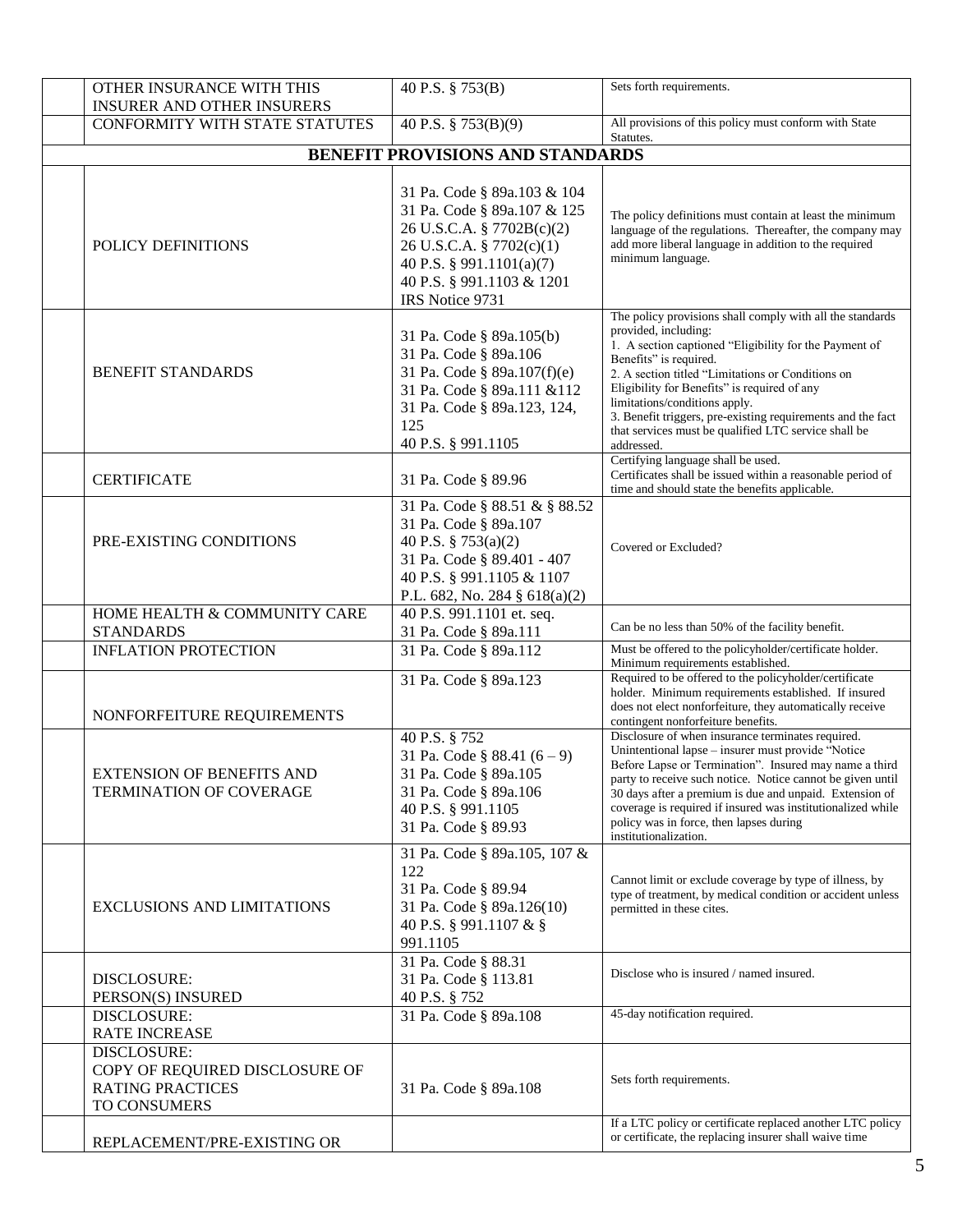| OTHER INSURANCE WITH THIS<br><b>INSURER AND OTHER INSURERS</b>                           | 40 P.S. § 753(B)                                                                                                                                                                                | Sets forth requirements.                                                                                                                                                                                                                                                                                                                                                                                                                         |
|------------------------------------------------------------------------------------------|-------------------------------------------------------------------------------------------------------------------------------------------------------------------------------------------------|--------------------------------------------------------------------------------------------------------------------------------------------------------------------------------------------------------------------------------------------------------------------------------------------------------------------------------------------------------------------------------------------------------------------------------------------------|
| CONFORMITY WITH STATE STATUTES                                                           | 40 P.S. § 753(B)(9)                                                                                                                                                                             | All provisions of this policy must conform with State<br>Statutes.                                                                                                                                                                                                                                                                                                                                                                               |
|                                                                                          | BENEFIT PROVISIONS AND STANDARDS                                                                                                                                                                |                                                                                                                                                                                                                                                                                                                                                                                                                                                  |
| POLICY DEFINITIONS                                                                       | 31 Pa. Code § 89a.103 & 104<br>31 Pa. Code § 89a.107 & 125<br>26 U.S.C.A. § 7702B(c)(2)<br>26 U.S.C.A. § 7702(c)(1)<br>40 P.S. § 991.1101(a)(7)<br>40 P.S. § 991.1103 & 1201<br>IRS Notice 9731 | The policy definitions must contain at least the minimum<br>language of the regulations. Thereafter, the company may<br>add more liberal language in addition to the required<br>minimum language.                                                                                                                                                                                                                                               |
| <b>BENEFIT STANDARDS</b>                                                                 | 31 Pa. Code § 89a.105(b)<br>31 Pa. Code § 89a.106<br>31 Pa. Code § 89a.107(f)(e)<br>31 Pa. Code § 89a.111 &112<br>31 Pa. Code § 89a.123, 124,<br>125<br>40 P.S. § 991.1105                      | The policy provisions shall comply with all the standards<br>provided, including:<br>1. A section captioned "Eligibility for the Payment of<br>Benefits" is required.<br>2. A section titled "Limitations or Conditions on<br>Eligibility for Benefits" is required of any<br>limitations/conditions apply.<br>3. Benefit triggers, pre-existing requirements and the fact<br>that services must be qualified LTC service shall be<br>addressed. |
| <b>CERTIFICATE</b>                                                                       | 31 Pa. Code § 89.96                                                                                                                                                                             | Certifying language shall be used.<br>Certificates shall be issued within a reasonable period of<br>time and should state the benefits applicable.                                                                                                                                                                                                                                                                                               |
| PRE-EXISTING CONDITIONS                                                                  | 31 Pa. Code § 88.51 & § 88.52<br>31 Pa. Code § 89a.107<br>40 P.S. § 753(a)(2)<br>31 Pa. Code § 89.401 - 407<br>40 P.S. § 991.1105 & 1107<br>P.L. 682, No. 284 § 618(a)(2)                       | Covered or Excluded?                                                                                                                                                                                                                                                                                                                                                                                                                             |
| HOME HEALTH & COMMUNITY CARE<br><b>STANDARDS</b>                                         | 40 P.S. 991.1101 et. seq.<br>31 Pa. Code § 89a.111                                                                                                                                              | Can be no less than 50% of the facility benefit.                                                                                                                                                                                                                                                                                                                                                                                                 |
| <b>INFLATION PROTECTION</b>                                                              | 31 Pa. Code § 89a.112                                                                                                                                                                           | Must be offered to the policyholder/certificate holder.<br>Minimum requirements established.                                                                                                                                                                                                                                                                                                                                                     |
| NONFORFEITURE REQUIREMENTS                                                               | 31 Pa. Code § 89a.123                                                                                                                                                                           | Required to be offered to the policyholder/certificate<br>holder. Minimum requirements established. If insured<br>does not elect nonforfeiture, they automatically receive<br>contingent nonforfeiture benefits.                                                                                                                                                                                                                                 |
| <b>EXTENSION OF BENEFITS AND</b><br><b>TERMINATION OF COVERAGE</b>                       | 40 P.S. § 752<br>31 Pa. Code § 88.41 $(6-9)$<br>31 Pa. Code § 89a.105<br>31 Pa. Code § 89a.106<br>40 P.S. § 991.1105<br>31 Pa. Code § 89.93                                                     | Disclosure of when insurance terminates required.<br>Unintentional lapse - insurer must provide "Notice<br>Before Lapse or Termination". Insured may name a third<br>party to receive such notice. Notice cannot be given until<br>30 days after a premium is due and unpaid. Extension of<br>coverage is required if insured was institutionalized while<br>policy was in force, then lapses during<br>institutionalization.                    |
| <b>EXCLUSIONS AND LIMITATIONS</b>                                                        | 31 Pa. Code § 89a.105, 107 &<br>122<br>31 Pa. Code § 89.94<br>31 Pa. Code § 89a.126(10)<br>40 P.S. § 991.1107 & §<br>991.1105                                                                   | Cannot limit or exclude coverage by type of illness, by<br>type of treatment, by medical condition or accident unless<br>permitted in these cites.                                                                                                                                                                                                                                                                                               |
| DISCLOSURE:<br>PERSON(S) INSURED                                                         | 31 Pa. Code § 88.31<br>31 Pa. Code § 113.81<br>40 P.S. § 752                                                                                                                                    | Disclose who is insured / named insured.                                                                                                                                                                                                                                                                                                                                                                                                         |
| DISCLOSURE:<br><b>RATE INCREASE</b>                                                      | 31 Pa. Code § 89a.108                                                                                                                                                                           | 45-day notification required.                                                                                                                                                                                                                                                                                                                                                                                                                    |
| DISCLOSURE:<br>COPY OF REQUIRED DISCLOSURE OF<br><b>RATING PRACTICES</b><br>TO CONSUMERS | 31 Pa. Code § 89a.108                                                                                                                                                                           | Sets forth requirements.                                                                                                                                                                                                                                                                                                                                                                                                                         |
| REPLACEMENT/PRE-EXISTING OR                                                              |                                                                                                                                                                                                 | If a LTC policy or certificate replaced another LTC policy<br>or certificate, the replacing insurer shall waive time                                                                                                                                                                                                                                                                                                                             |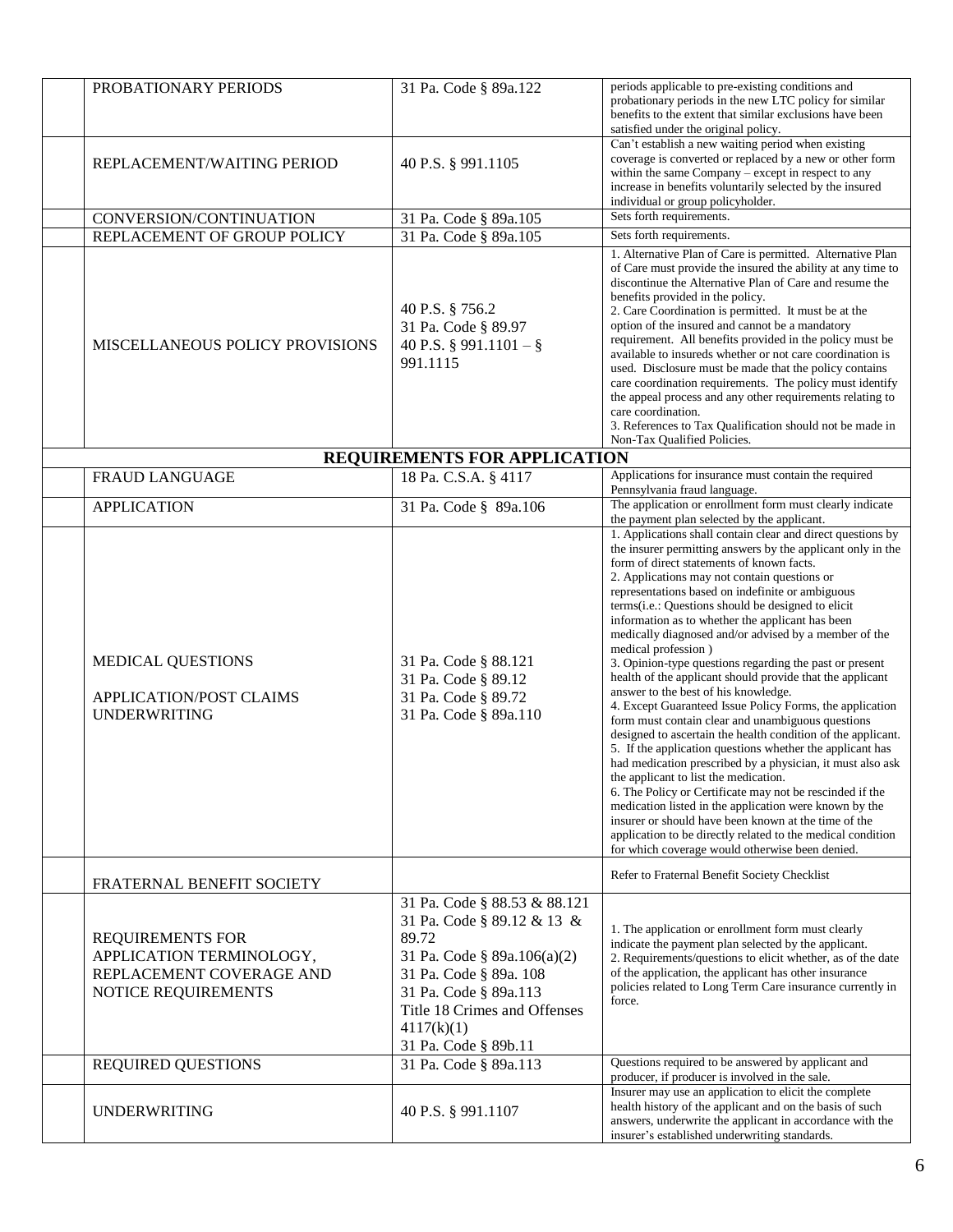| PROBATIONARY PERIODS                                                                                   | 31 Pa. Code § 89a.122                                                                                                                                                                                                       | periods applicable to pre-existing conditions and<br>probationary periods in the new LTC policy for similar<br>benefits to the extent that similar exclusions have been<br>satisfied under the original policy.                                                                                                                                                                                                                                                                                                                                                                                                                                                                                                                                                                                                                                                                                                                                                                                                                                                                                                                                                                                                                                                                            |
|--------------------------------------------------------------------------------------------------------|-----------------------------------------------------------------------------------------------------------------------------------------------------------------------------------------------------------------------------|--------------------------------------------------------------------------------------------------------------------------------------------------------------------------------------------------------------------------------------------------------------------------------------------------------------------------------------------------------------------------------------------------------------------------------------------------------------------------------------------------------------------------------------------------------------------------------------------------------------------------------------------------------------------------------------------------------------------------------------------------------------------------------------------------------------------------------------------------------------------------------------------------------------------------------------------------------------------------------------------------------------------------------------------------------------------------------------------------------------------------------------------------------------------------------------------------------------------------------------------------------------------------------------------|
| REPLACEMENT/WAITING PERIOD                                                                             | 40 P.S. § 991.1105                                                                                                                                                                                                          | Can't establish a new waiting period when existing<br>coverage is converted or replaced by a new or other form<br>within the same Company – except in respect to any<br>increase in benefits voluntarily selected by the insured<br>individual or group policyholder.                                                                                                                                                                                                                                                                                                                                                                                                                                                                                                                                                                                                                                                                                                                                                                                                                                                                                                                                                                                                                      |
| CONVERSION/CONTINUATION                                                                                | 31 Pa. Code § 89a.105                                                                                                                                                                                                       | Sets forth requirements.                                                                                                                                                                                                                                                                                                                                                                                                                                                                                                                                                                                                                                                                                                                                                                                                                                                                                                                                                                                                                                                                                                                                                                                                                                                                   |
| REPLACEMENT OF GROUP POLICY                                                                            | 31 Pa. Code § 89a.105                                                                                                                                                                                                       | Sets forth requirements.                                                                                                                                                                                                                                                                                                                                                                                                                                                                                                                                                                                                                                                                                                                                                                                                                                                                                                                                                                                                                                                                                                                                                                                                                                                                   |
| MISCELLANEOUS POLICY PROVISIONS                                                                        | 40 P.S. § 756.2<br>31 Pa. Code § 89.97<br>40 P.S. § 991.1101 - §<br>991.1115                                                                                                                                                | 1. Alternative Plan of Care is permitted. Alternative Plan<br>of Care must provide the insured the ability at any time to<br>discontinue the Alternative Plan of Care and resume the<br>benefits provided in the policy.<br>2. Care Coordination is permitted. It must be at the<br>option of the insured and cannot be a mandatory<br>requirement. All benefits provided in the policy must be<br>available to insureds whether or not care coordination is<br>used. Disclosure must be made that the policy contains<br>care coordination requirements. The policy must identify<br>the appeal process and any other requirements relating to<br>care coordination.<br>3. References to Tax Qualification should not be made in<br>Non-Tax Qualified Policies.                                                                                                                                                                                                                                                                                                                                                                                                                                                                                                                           |
|                                                                                                        | REQUIREMENTS FOR APPLICATION                                                                                                                                                                                                |                                                                                                                                                                                                                                                                                                                                                                                                                                                                                                                                                                                                                                                                                                                                                                                                                                                                                                                                                                                                                                                                                                                                                                                                                                                                                            |
| <b>FRAUD LANGUAGE</b>                                                                                  | 18 Pa. C.S.A. § 4117                                                                                                                                                                                                        | Applications for insurance must contain the required<br>Pennsylvania fraud language.                                                                                                                                                                                                                                                                                                                                                                                                                                                                                                                                                                                                                                                                                                                                                                                                                                                                                                                                                                                                                                                                                                                                                                                                       |
| <b>APPLICATION</b>                                                                                     | 31 Pa. Code § 89a.106                                                                                                                                                                                                       | The application or enrollment form must clearly indicate<br>the payment plan selected by the applicant.                                                                                                                                                                                                                                                                                                                                                                                                                                                                                                                                                                                                                                                                                                                                                                                                                                                                                                                                                                                                                                                                                                                                                                                    |
| MEDICAL QUESTIONS<br>APPLICATION/POST CLAIMS<br><b>UNDERWRITING</b>                                    | 31 Pa. Code § 88.121<br>31 Pa. Code § 89.12<br>31 Pa. Code § 89.72<br>31 Pa. Code § 89a.110                                                                                                                                 | 1. Applications shall contain clear and direct questions by<br>the insurer permitting answers by the applicant only in the<br>form of direct statements of known facts.<br>2. Applications may not contain questions or<br>representations based on indefinite or ambiguous<br>terms(i.e.: Questions should be designed to elicit<br>information as to whether the applicant has been<br>medically diagnosed and/or advised by a member of the<br>medical profession)<br>3. Opinion-type questions regarding the past or present<br>health of the applicant should provide that the applicant<br>answer to the best of his knowledge.<br>4. Except Guaranteed Issue Policy Forms, the application<br>form must contain clear and unambiguous questions<br>designed to ascertain the health condition of the applicant.<br>5. If the application questions whether the applicant has<br>had medication prescribed by a physician, it must also ask<br>the applicant to list the medication.<br>6. The Policy or Certificate may not be rescinded if the<br>medication listed in the application were known by the<br>insurer or should have been known at the time of the<br>application to be directly related to the medical condition<br>for which coverage would otherwise been denied. |
| FRATERNAL BENEFIT SOCIETY                                                                              |                                                                                                                                                                                                                             | Refer to Fraternal Benefit Society Checklist                                                                                                                                                                                                                                                                                                                                                                                                                                                                                                                                                                                                                                                                                                                                                                                                                                                                                                                                                                                                                                                                                                                                                                                                                                               |
| <b>REQUIREMENTS FOR</b><br>APPLICATION TERMINOLOGY,<br>REPLACEMENT COVERAGE AND<br>NOTICE REQUIREMENTS | 31 Pa. Code § 88.53 & 88.121<br>31 Pa. Code § 89.12 & 13 &<br>89.72<br>31 Pa. Code § 89a.106(a)(2)<br>31 Pa. Code § 89a. 108<br>31 Pa. Code § 89a.113<br>Title 18 Crimes and Offenses<br>4117(k)(1)<br>31 Pa. Code § 89b.11 | 1. The application or enrollment form must clearly<br>indicate the payment plan selected by the applicant.<br>2. Requirements/questions to elicit whether, as of the date<br>of the application, the applicant has other insurance<br>policies related to Long Term Care insurance currently in<br>force.                                                                                                                                                                                                                                                                                                                                                                                                                                                                                                                                                                                                                                                                                                                                                                                                                                                                                                                                                                                  |
| <b>REQUIRED QUESTIONS</b>                                                                              | 31 Pa. Code § 89a.113                                                                                                                                                                                                       | Questions required to be answered by applicant and<br>producer, if producer is involved in the sale.                                                                                                                                                                                                                                                                                                                                                                                                                                                                                                                                                                                                                                                                                                                                                                                                                                                                                                                                                                                                                                                                                                                                                                                       |
| <b>UNDERWRITING</b>                                                                                    | 40 P.S. § 991.1107                                                                                                                                                                                                          | Insurer may use an application to elicit the complete<br>health history of the applicant and on the basis of such<br>answers, underwrite the applicant in accordance with the<br>insurer's established underwriting standards.                                                                                                                                                                                                                                                                                                                                                                                                                                                                                                                                                                                                                                                                                                                                                                                                                                                                                                                                                                                                                                                             |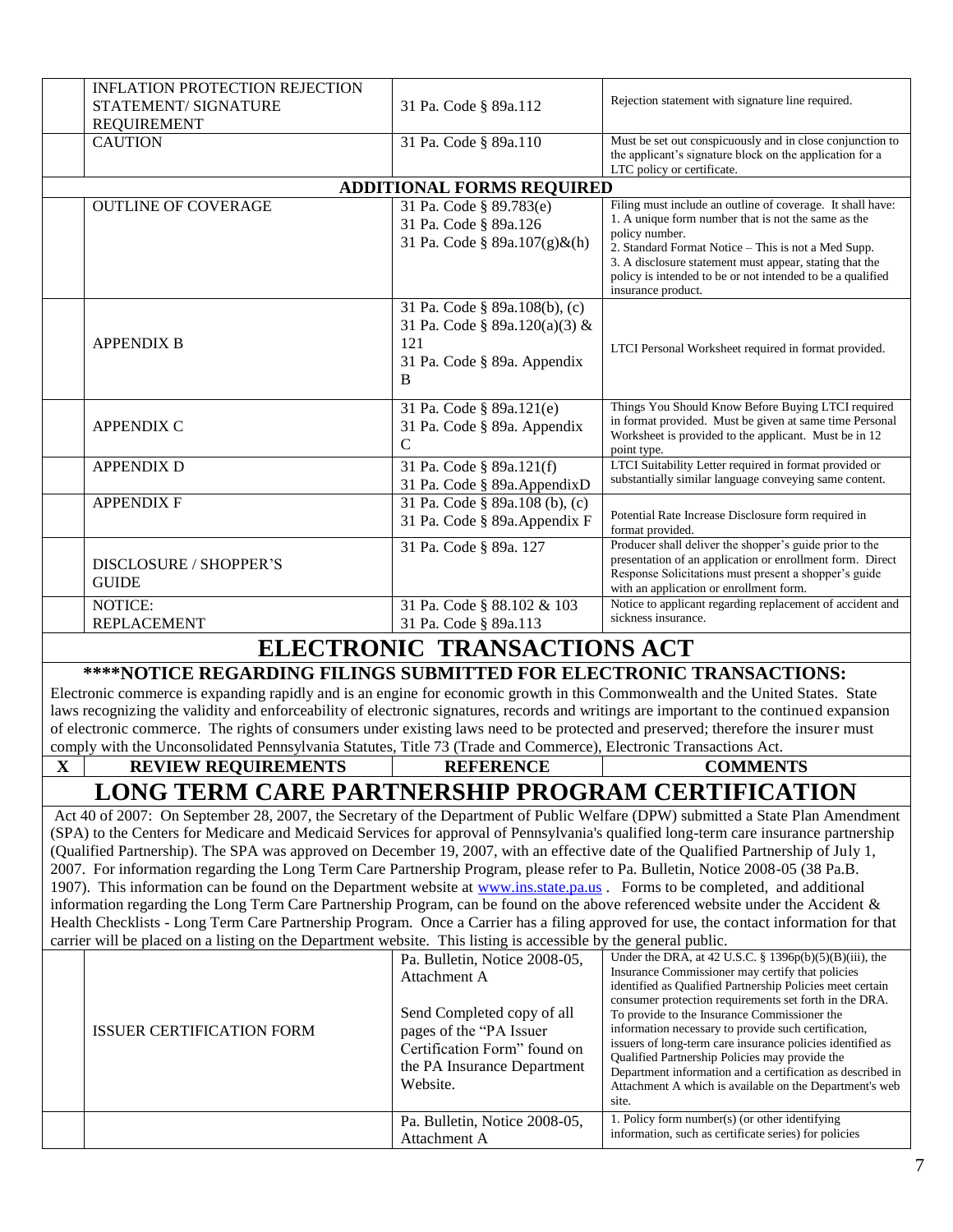|             | <b>INFLATION PROTECTION REJECTION</b><br>STATEMENT/ SIGNATURE<br><b>REQUIREMENT</b>                                                                                                                                                                              | 31 Pa. Code § 89a.112            | Rejection statement with signature line required.                                                                                                                                                  |
|-------------|------------------------------------------------------------------------------------------------------------------------------------------------------------------------------------------------------------------------------------------------------------------|----------------------------------|----------------------------------------------------------------------------------------------------------------------------------------------------------------------------------------------------|
|             | <b>CAUTION</b>                                                                                                                                                                                                                                                   | 31 Pa. Code § 89a.110            | Must be set out conspicuously and in close conjunction to<br>the applicant's signature block on the application for a<br>LTC policy or certificate.                                                |
|             |                                                                                                                                                                                                                                                                  | <b>ADDITIONAL FORMS REQUIRED</b> |                                                                                                                                                                                                    |
|             | <b>OUTLINE OF COVERAGE</b>                                                                                                                                                                                                                                       | 31 Pa. Code § 89.783(e)          | Filing must include an outline of coverage. It shall have:                                                                                                                                         |
|             |                                                                                                                                                                                                                                                                  | 31 Pa. Code § 89a.126            | 1. A unique form number that is not the same as the                                                                                                                                                |
|             |                                                                                                                                                                                                                                                                  | 31 Pa. Code § 89a.107(g)&(h)     | policy number.                                                                                                                                                                                     |
|             |                                                                                                                                                                                                                                                                  |                                  | 2. Standard Format Notice - This is not a Med Supp.<br>3. A disclosure statement must appear, stating that the<br>policy is intended to be or not intended to be a qualified<br>insurance product. |
|             |                                                                                                                                                                                                                                                                  | 31 Pa. Code § 89a.108(b), (c)    |                                                                                                                                                                                                    |
|             |                                                                                                                                                                                                                                                                  | 31 Pa. Code § 89a.120(a)(3) &    |                                                                                                                                                                                                    |
|             | <b>APPENDIX B</b>                                                                                                                                                                                                                                                | 121                              | LTCI Personal Worksheet required in format provided.                                                                                                                                               |
|             |                                                                                                                                                                                                                                                                  | 31 Pa. Code § 89a. Appendix<br>B |                                                                                                                                                                                                    |
|             |                                                                                                                                                                                                                                                                  |                                  |                                                                                                                                                                                                    |
|             |                                                                                                                                                                                                                                                                  | 31 Pa. Code § 89a.121(e)         | Things You Should Know Before Buying LTCI required                                                                                                                                                 |
|             | <b>APPENDIX C</b>                                                                                                                                                                                                                                                | 31 Pa. Code § 89a. Appendix      | in format provided. Must be given at same time Personal<br>Worksheet is provided to the applicant. Must be in 12                                                                                   |
|             |                                                                                                                                                                                                                                                                  | $\mathbf C$                      | point type.                                                                                                                                                                                        |
|             | <b>APPENDIX D</b>                                                                                                                                                                                                                                                | 31 Pa. Code § 89a.121(f)         | LTCI Suitability Letter required in format provided or                                                                                                                                             |
|             |                                                                                                                                                                                                                                                                  | 31 Pa. Code § 89a. AppendixD     | substantially similar language conveying same content.                                                                                                                                             |
|             | <b>APPENDIX F</b>                                                                                                                                                                                                                                                | 31 Pa. Code § 89a.108 (b), (c)   | Potential Rate Increase Disclosure form required in                                                                                                                                                |
|             |                                                                                                                                                                                                                                                                  | 31 Pa. Code § 89a. Appendix F    | format provided.                                                                                                                                                                                   |
|             |                                                                                                                                                                                                                                                                  | 31 Pa. Code § 89a. 127           | Producer shall deliver the shopper's guide prior to the<br>presentation of an application or enrollment form. Direct                                                                               |
|             | DISCLOSURE / SHOPPER'S                                                                                                                                                                                                                                           |                                  | Response Solicitations must present a shopper's guide                                                                                                                                              |
|             | <b>GUIDE</b>                                                                                                                                                                                                                                                     |                                  | with an application or enrollment form.                                                                                                                                                            |
|             | NOTICE:                                                                                                                                                                                                                                                          | 31 Pa. Code § 88.102 & 103       | Notice to applicant regarding replacement of accident and<br>sickness insurance.                                                                                                                   |
|             | <b>REPLACEMENT</b>                                                                                                                                                                                                                                               | 31 Pa. Code § 89a.113            |                                                                                                                                                                                                    |
|             |                                                                                                                                                                                                                                                                  | ELECTRONIC TRANSACTIONS ACT      |                                                                                                                                                                                                    |
|             | <b>****NOTICE REGARDING FILINGS SUBMITTED FOR ELECTRONIC TRANSACTIONS:</b>                                                                                                                                                                                       |                                  |                                                                                                                                                                                                    |
|             | Electronic commerce is expanding rapidly and is an engine for economic growth in this Commonwealth and the United States. State                                                                                                                                  |                                  |                                                                                                                                                                                                    |
|             | laws recognizing the validity and enforceability of electronic signatures, records and writings are important to the continued expansion                                                                                                                         |                                  |                                                                                                                                                                                                    |
|             | of electronic commerce. The rights of consumers under existing laws need to be protected and preserved; therefore the insurer must                                                                                                                               |                                  |                                                                                                                                                                                                    |
|             | comply with the Unconsolidated Pennsylvania Statutes, Title 73 (Trade and Commerce), Electronic Transactions Act.                                                                                                                                                |                                  |                                                                                                                                                                                                    |
| $\mathbf X$ | <b>REVIEW REQUIREMENTS</b>                                                                                                                                                                                                                                       | <b>REFERENCE</b>                 | <b>COMMENTS</b>                                                                                                                                                                                    |
|             | LONG TERM CARE PARTNERSHIP PROGRAM CERTIFICATION                                                                                                                                                                                                                 |                                  |                                                                                                                                                                                                    |
|             | Act 40 of 2007: On September 28, 2007, the Secretary of the Department of Public Welfare (DPW) submitted a State Plan Amendment                                                                                                                                  |                                  |                                                                                                                                                                                                    |
|             | (SPA) to the Centers for Medicare and Medicaid Services for approval of Pennsylvania's qualified long-term care insurance partnership                                                                                                                            |                                  |                                                                                                                                                                                                    |
|             | (Qualified Partnership). The SPA was approved on December 19, 2007, with an effective date of the Qualified Partnership of July 1,                                                                                                                               |                                  |                                                                                                                                                                                                    |
|             | 2007. For information regarding the Long Term Care Partnership Program, please refer to Pa. Bulletin, Notice 2008-05 (38 Pa.B.                                                                                                                                   |                                  |                                                                                                                                                                                                    |
|             | 1907). This information can be found on the Department website at www.ins.state.pa.us . Forms to be completed, and additional<br>information regarding the Long Term Care Partnership Program, can be found on the above referenced website under the Accident & |                                  |                                                                                                                                                                                                    |
|             | Health Checklists - Long Term Care Partnership Program. Once a Carrier has a filing approved for use, the contact information for that                                                                                                                           |                                  |                                                                                                                                                                                                    |
|             | carrier will be placed on a listing on the Department website. This listing is accessible by the general public.                                                                                                                                                 |                                  |                                                                                                                                                                                                    |
|             |                                                                                                                                                                                                                                                                  | Pa. Bulletin, Notice 2008-05,    | Under the DRA, at 42 U.S.C. § 1396p(b)(5)(B)(iii), the                                                                                                                                             |
|             |                                                                                                                                                                                                                                                                  | Attachment A                     | Insurance Commissioner may certify that policies<br>identified as Qualified Partnership Policies meet certain<br>consumer protection requirements set forth in the DRA.                            |
|             |                                                                                                                                                                                                                                                                  | Send Completed copy of all       | To provide to the Insurance Commissioner the                                                                                                                                                       |
|             | <b>ISSUER CERTIFICATION FORM</b>                                                                                                                                                                                                                                 | pages of the "PA Issuer          | information necessary to provide such certification,                                                                                                                                               |
|             |                                                                                                                                                                                                                                                                  | Certification Form" found on     | issuers of long-term care insurance policies identified as<br>Qualified Partnership Policies may provide the                                                                                       |
|             |                                                                                                                                                                                                                                                                  | the PA Insurance Department      | Department information and a certification as described in                                                                                                                                         |
|             |                                                                                                                                                                                                                                                                  | Website.                         | Attachment A which is available on the Department's web<br>site.                                                                                                                                   |
|             |                                                                                                                                                                                                                                                                  | Pa. Bulletin, Notice 2008-05,    | 1. Policy form number(s) (or other identifying                                                                                                                                                     |
|             |                                                                                                                                                                                                                                                                  | Attachment A                     | information, such as certificate series) for policies                                                                                                                                              |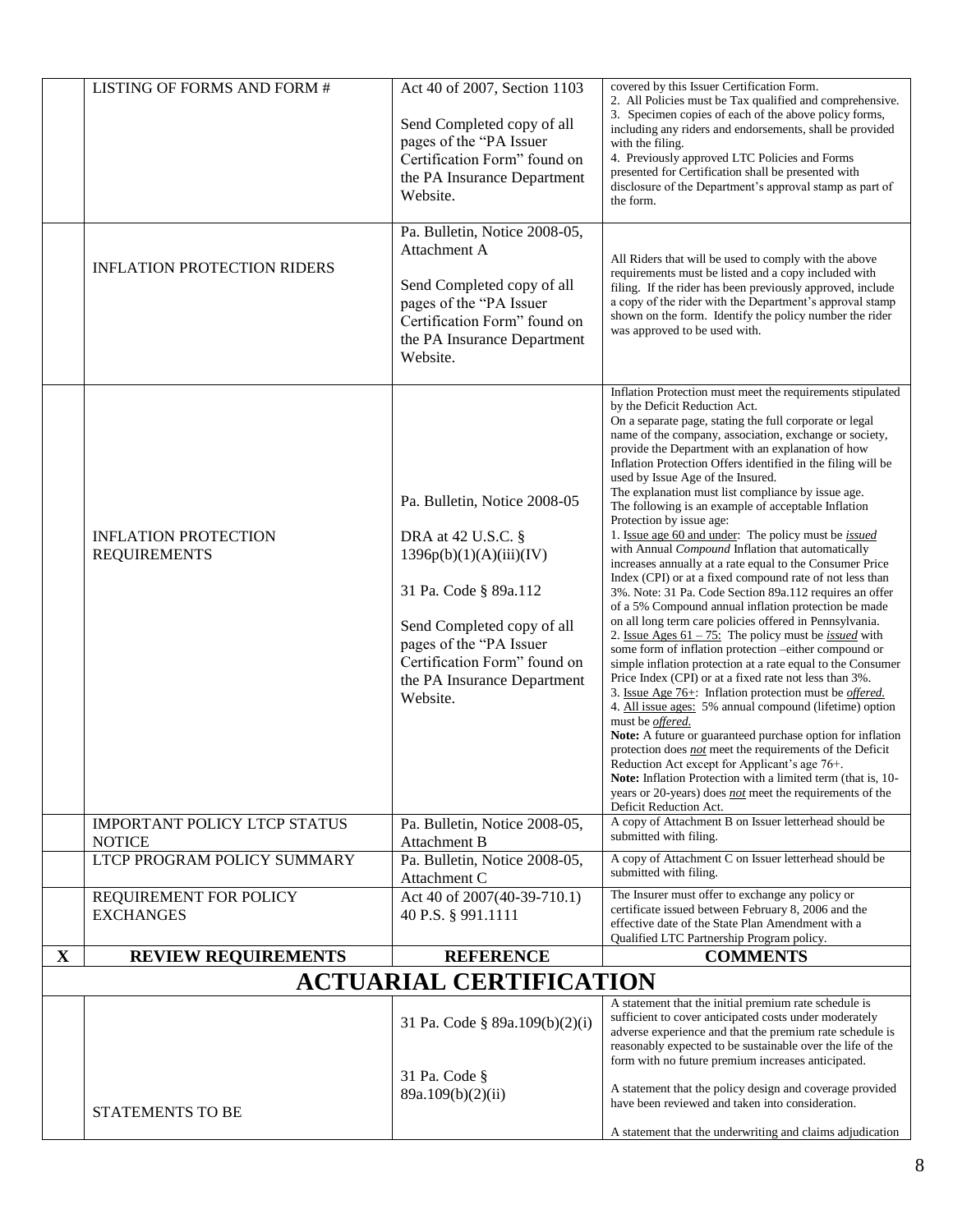|              | LISTING OF FORMS AND FORM #                          | Act 40 of 2007, Section 1103<br>Send Completed copy of all<br>pages of the "PA Issuer<br>Certification Form" found on<br>the PA Insurance Department<br>Website.                                                                           | covered by this Issuer Certification Form.<br>2. All Policies must be Tax qualified and comprehensive.<br>3. Specimen copies of each of the above policy forms,<br>including any riders and endorsements, shall be provided<br>with the filing.<br>4. Previously approved LTC Policies and Forms<br>presented for Certification shall be presented with<br>disclosure of the Department's approval stamp as part of<br>the form.                                                                                                                                                                                                                                                                                                                                                                                                                                                                                                                                                                                                                                                                                                                                                                                                                                                                                                                                                                                                                                                                                                                                                                                                                                                          |
|--------------|------------------------------------------------------|--------------------------------------------------------------------------------------------------------------------------------------------------------------------------------------------------------------------------------------------|-------------------------------------------------------------------------------------------------------------------------------------------------------------------------------------------------------------------------------------------------------------------------------------------------------------------------------------------------------------------------------------------------------------------------------------------------------------------------------------------------------------------------------------------------------------------------------------------------------------------------------------------------------------------------------------------------------------------------------------------------------------------------------------------------------------------------------------------------------------------------------------------------------------------------------------------------------------------------------------------------------------------------------------------------------------------------------------------------------------------------------------------------------------------------------------------------------------------------------------------------------------------------------------------------------------------------------------------------------------------------------------------------------------------------------------------------------------------------------------------------------------------------------------------------------------------------------------------------------------------------------------------------------------------------------------------|
|              | <b>INFLATION PROTECTION RIDERS</b>                   | Pa. Bulletin, Notice 2008-05,<br>Attachment A<br>Send Completed copy of all<br>pages of the "PA Issuer<br>Certification Form" found on<br>the PA Insurance Department<br>Website.                                                          | All Riders that will be used to comply with the above<br>requirements must be listed and a copy included with<br>filing. If the rider has been previously approved, include<br>a copy of the rider with the Department's approval stamp<br>shown on the form. Identify the policy number the rider<br>was approved to be used with.                                                                                                                                                                                                                                                                                                                                                                                                                                                                                                                                                                                                                                                                                                                                                                                                                                                                                                                                                                                                                                                                                                                                                                                                                                                                                                                                                       |
|              | <b>INFLATION PROTECTION</b><br><b>REQUIREMENTS</b>   | Pa. Bulletin, Notice 2008-05<br>DRA at 42 U.S.C. §<br>1396p(b)(1)(A)(iii)(IV)<br>31 Pa. Code § 89a.112<br>Send Completed copy of all<br>pages of the "PA Issuer<br>Certification Form" found on<br>the PA Insurance Department<br>Website. | Inflation Protection must meet the requirements stipulated<br>by the Deficit Reduction Act.<br>On a separate page, stating the full corporate or legal<br>name of the company, association, exchange or society,<br>provide the Department with an explanation of how<br>Inflation Protection Offers identified in the filing will be<br>used by Issue Age of the Insured.<br>The explanation must list compliance by issue age.<br>The following is an example of acceptable Inflation<br>Protection by issue age:<br>1. Issue age 60 and under: The policy must be <i>issued</i><br>with Annual Compound Inflation that automatically<br>increases annually at a rate equal to the Consumer Price<br>Index (CPI) or at a fixed compound rate of not less than<br>3%. Note: 31 Pa. Code Section 89a.112 requires an offer<br>of a 5% Compound annual inflation protection be made<br>on all long term care policies offered in Pennsylvania.<br>2. <u>Issue Ages 61 – 75:</u> The policy must be <i>issued</i> with<br>some form of inflation protection -either compound or<br>simple inflation protection at a rate equal to the Consumer<br>Price Index (CPI) or at a fixed rate not less than 3%.<br>3. Issue Age 76+: Inflation protection must be <i>offered</i> .<br>4. All issue ages: 5% annual compound (lifetime) option<br>must be offered.<br>Note: A future or guaranteed purchase option for inflation<br>protection does not meet the requirements of the Deficit<br>Reduction Act except for Applicant's age 76+.<br>Note: Inflation Protection with a limited term (that is, 10-<br>years or 20-years) does not meet the requirements of the<br>Deficit Reduction Act. |
|              | <b>IMPORTANT POLICY LTCP STATUS</b><br><b>NOTICE</b> | Pa. Bulletin, Notice 2008-05,<br><b>Attachment B</b>                                                                                                                                                                                       | A copy of Attachment B on Issuer letterhead should be<br>submitted with filing.                                                                                                                                                                                                                                                                                                                                                                                                                                                                                                                                                                                                                                                                                                                                                                                                                                                                                                                                                                                                                                                                                                                                                                                                                                                                                                                                                                                                                                                                                                                                                                                                           |
|              | LTCP PROGRAM POLICY SUMMARY                          | Pa. Bulletin, Notice 2008-05,<br>Attachment C                                                                                                                                                                                              | A copy of Attachment C on Issuer letterhead should be<br>submitted with filing.                                                                                                                                                                                                                                                                                                                                                                                                                                                                                                                                                                                                                                                                                                                                                                                                                                                                                                                                                                                                                                                                                                                                                                                                                                                                                                                                                                                                                                                                                                                                                                                                           |
|              | REQUIREMENT FOR POLICY<br><b>EXCHANGES</b>           | Act 40 of 2007(40-39-710.1)<br>40 P.S. § 991.1111                                                                                                                                                                                          | The Insurer must offer to exchange any policy or<br>certificate issued between February 8, 2006 and the<br>effective date of the State Plan Amendment with a<br>Qualified LTC Partnership Program policy.                                                                                                                                                                                                                                                                                                                                                                                                                                                                                                                                                                                                                                                                                                                                                                                                                                                                                                                                                                                                                                                                                                                                                                                                                                                                                                                                                                                                                                                                                 |
| $\mathbf{X}$ | <b>REVIEW REQUIREMENTS</b>                           | <b>REFERENCE</b>                                                                                                                                                                                                                           | <b>COMMENTS</b>                                                                                                                                                                                                                                                                                                                                                                                                                                                                                                                                                                                                                                                                                                                                                                                                                                                                                                                                                                                                                                                                                                                                                                                                                                                                                                                                                                                                                                                                                                                                                                                                                                                                           |
|              |                                                      | <b>ACTUARIAL CERTIFICATION</b>                                                                                                                                                                                                             |                                                                                                                                                                                                                                                                                                                                                                                                                                                                                                                                                                                                                                                                                                                                                                                                                                                                                                                                                                                                                                                                                                                                                                                                                                                                                                                                                                                                                                                                                                                                                                                                                                                                                           |
|              |                                                      | 31 Pa. Code § 89a.109(b)(2)(i)<br>31 Pa. Code §<br>89a.109(b)(2)(ii)                                                                                                                                                                       | A statement that the initial premium rate schedule is<br>sufficient to cover anticipated costs under moderately<br>adverse experience and that the premium rate schedule is<br>reasonably expected to be sustainable over the life of the<br>form with no future premium increases anticipated.<br>A statement that the policy design and coverage provided<br>have been reviewed and taken into consideration.                                                                                                                                                                                                                                                                                                                                                                                                                                                                                                                                                                                                                                                                                                                                                                                                                                                                                                                                                                                                                                                                                                                                                                                                                                                                           |
|              | STATEMENTS TO BE                                     |                                                                                                                                                                                                                                            | A statement that the underwriting and claims adjudication                                                                                                                                                                                                                                                                                                                                                                                                                                                                                                                                                                                                                                                                                                                                                                                                                                                                                                                                                                                                                                                                                                                                                                                                                                                                                                                                                                                                                                                                                                                                                                                                                                 |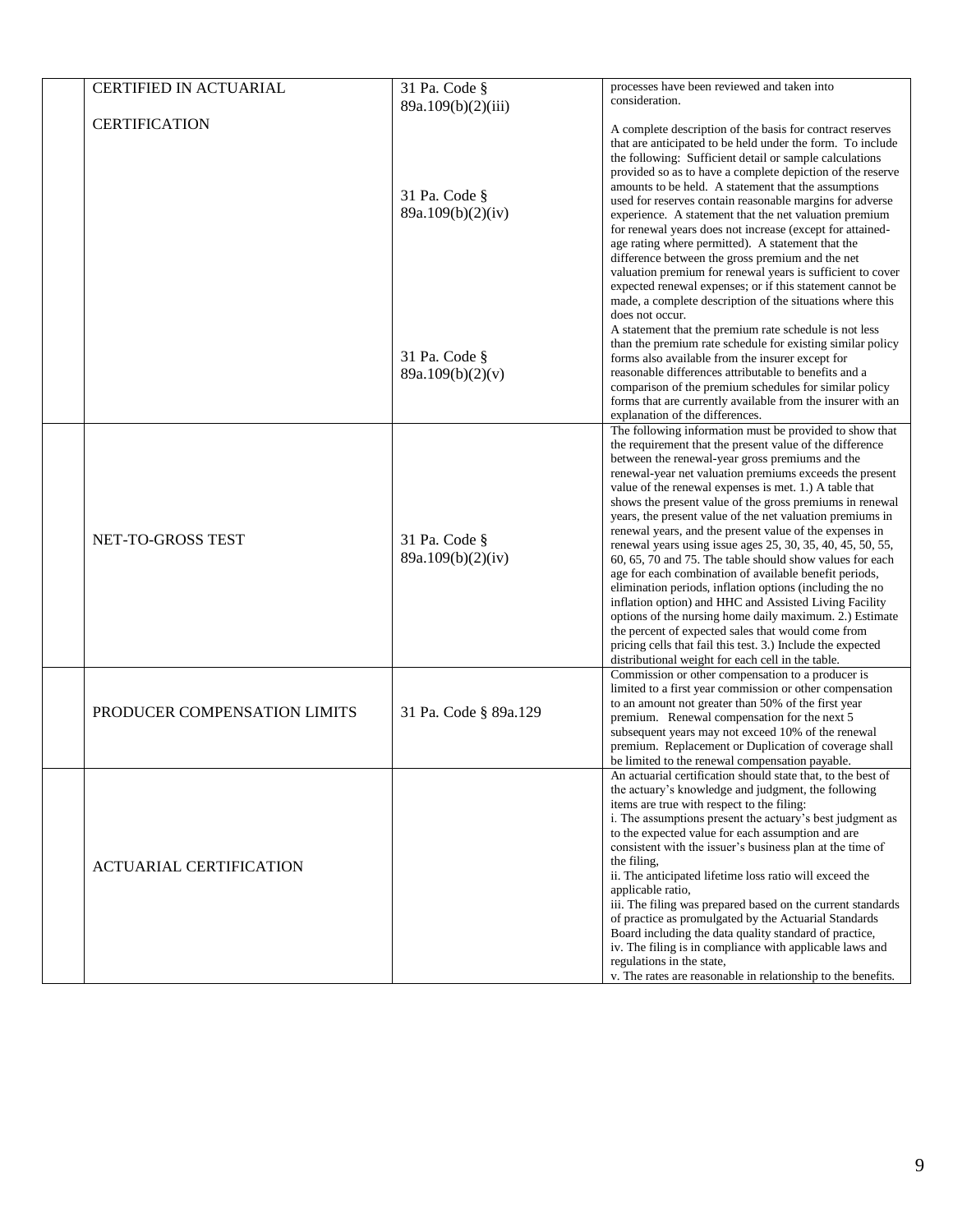| <b>CERTIFIED IN ACTUARIAL</b>  | 31 Pa. Code §                      | processes have been reviewed and taken into                                                                                                                                                                                                                                                                                                                                                                                                                                                                                                                                                                                                                                                                                                                                                                                                                                                                                                                                                                                    |
|--------------------------------|------------------------------------|--------------------------------------------------------------------------------------------------------------------------------------------------------------------------------------------------------------------------------------------------------------------------------------------------------------------------------------------------------------------------------------------------------------------------------------------------------------------------------------------------------------------------------------------------------------------------------------------------------------------------------------------------------------------------------------------------------------------------------------------------------------------------------------------------------------------------------------------------------------------------------------------------------------------------------------------------------------------------------------------------------------------------------|
|                                | 89a.109(b)(2)(iii)                 | consideration.                                                                                                                                                                                                                                                                                                                                                                                                                                                                                                                                                                                                                                                                                                                                                                                                                                                                                                                                                                                                                 |
| <b>CERTIFICATION</b>           | 31 Pa. Code §<br>89a.109(b)(2)(iv) | A complete description of the basis for contract reserves<br>that are anticipated to be held under the form. To include<br>the following: Sufficient detail or sample calculations<br>provided so as to have a complete depiction of the reserve<br>amounts to be held. A statement that the assumptions<br>used for reserves contain reasonable margins for adverse<br>experience. A statement that the net valuation premium<br>for renewal years does not increase (except for attained-<br>age rating where permitted). A statement that the<br>difference between the gross premium and the net<br>valuation premium for renewal years is sufficient to cover<br>expected renewal expenses; or if this statement cannot be<br>made, a complete description of the situations where this                                                                                                                                                                                                                                   |
|                                | 31 Pa. Code §<br>89a.109(b)(2)(v)  | does not occur.<br>A statement that the premium rate schedule is not less<br>than the premium rate schedule for existing similar policy<br>forms also available from the insurer except for<br>reasonable differences attributable to benefits and a<br>comparison of the premium schedules for similar policy<br>forms that are currently available from the insurer with an<br>explanation of the differences.                                                                                                                                                                                                                                                                                                                                                                                                                                                                                                                                                                                                               |
| NET-TO-GROSS TEST              | 31 Pa. Code §<br>89a.109(b)(2)(iv) | The following information must be provided to show that<br>the requirement that the present value of the difference<br>between the renewal-year gross premiums and the<br>renewal-year net valuation premiums exceeds the present<br>value of the renewal expenses is met. 1.) A table that<br>shows the present value of the gross premiums in renewal<br>years, the present value of the net valuation premiums in<br>renewal years, and the present value of the expenses in<br>renewal years using issue ages 25, 30, 35, 40, 45, 50, 55,<br>60, 65, 70 and 75. The table should show values for each<br>age for each combination of available benefit periods,<br>elimination periods, inflation options (including the no<br>inflation option) and HHC and Assisted Living Facility<br>options of the nursing home daily maximum. 2.) Estimate<br>the percent of expected sales that would come from<br>pricing cells that fail this test. 3.) Include the expected<br>distributional weight for each cell in the table. |
| PRODUCER COMPENSATION LIMITS   | 31 Pa. Code § 89a.129              | Commission or other compensation to a producer is<br>limited to a first year commission or other compensation<br>to an amount not greater than 50% of the first year<br>premium. Renewal compensation for the next 5<br>subsequent years may not exceed 10% of the renewal<br>premium. Replacement or Duplication of coverage shall<br>be limited to the renewal compensation payable.                                                                                                                                                                                                                                                                                                                                                                                                                                                                                                                                                                                                                                         |
| <b>ACTUARIAL CERTIFICATION</b> |                                    | An actuarial certification should state that, to the best of<br>the actuary's knowledge and judgment, the following<br>items are true with respect to the filing:<br>i. The assumptions present the actuary's best judgment as<br>to the expected value for each assumption and are<br>consistent with the issuer's business plan at the time of<br>the filing,<br>ii. The anticipated lifetime loss ratio will exceed the<br>applicable ratio,<br>iii. The filing was prepared based on the current standards<br>of practice as promulgated by the Actuarial Standards<br>Board including the data quality standard of practice,<br>iv. The filing is in compliance with applicable laws and<br>regulations in the state,<br>v. The rates are reasonable in relationship to the benefits.                                                                                                                                                                                                                                     |